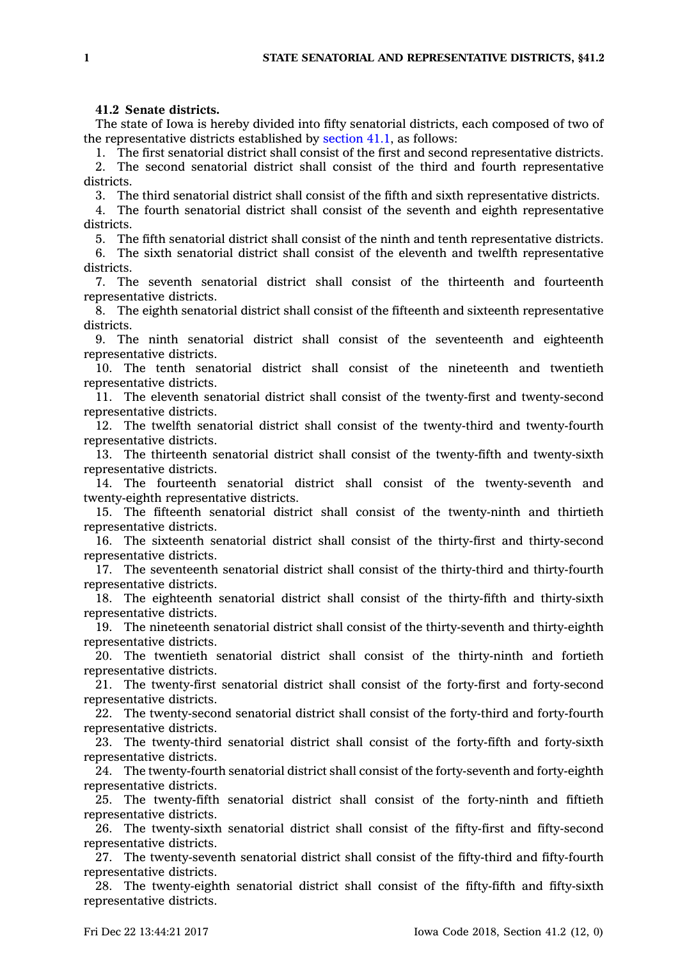## **41.2 Senate districts.**

The state of Iowa is hereby divided into fifty senatorial districts, each composed of two of the representative districts established by [section](https://www.legis.iowa.gov/docs/code/41.1.pdf) 41.1, as follows:

1. The first senatorial district shall consist of the first and second representative districts. 2. The second senatorial district shall consist of the third and fourth representative districts.

3. The third senatorial district shall consist of the fifth and sixth representative districts.

4. The fourth senatorial district shall consist of the seventh and eighth representative districts.

5. The fifth senatorial district shall consist of the ninth and tenth representative districts.

6. The sixth senatorial district shall consist of the eleventh and twelfth representative districts.

7. The seventh senatorial district shall consist of the thirteenth and fourteenth representative districts.

8. The eighth senatorial district shall consist of the fifteenth and sixteenth representative districts.

9. The ninth senatorial district shall consist of the seventeenth and eighteenth representative districts.

10. The tenth senatorial district shall consist of the nineteenth and twentieth representative districts.

11. The eleventh senatorial district shall consist of the twenty-first and twenty-second representative districts.

12. The twelfth senatorial district shall consist of the twenty-third and twenty-fourth representative districts.

13. The thirteenth senatorial district shall consist of the twenty-fifth and twenty-sixth representative districts.

14. The fourteenth senatorial district shall consist of the twenty-seventh and twenty-eighth representative districts.

15. The fifteenth senatorial district shall consist of the twenty-ninth and thirtieth representative districts.

16. The sixteenth senatorial district shall consist of the thirty-first and thirty-second representative districts.

17. The seventeenth senatorial district shall consist of the thirty-third and thirty-fourth representative districts.

18. The eighteenth senatorial district shall consist of the thirty-fifth and thirty-sixth representative districts.

19. The nineteenth senatorial district shall consist of the thirty-seventh and thirty-eighth representative districts.

20. The twentieth senatorial district shall consist of the thirty-ninth and fortieth representative districts.

21. The twenty-first senatorial district shall consist of the forty-first and forty-second representative districts.

22. The twenty-second senatorial district shall consist of the forty-third and forty-fourth representative districts.

23. The twenty-third senatorial district shall consist of the forty-fifth and forty-sixth representative districts.

24. The twenty-fourth senatorial district shall consist of the forty-seventh and forty-eighth representative districts.

25. The twenty-fifth senatorial district shall consist of the forty-ninth and fiftieth representative districts.

26. The twenty-sixth senatorial district shall consist of the fifty-first and fifty-second representative districts.

27. The twenty-seventh senatorial district shall consist of the fifty-third and fifty-fourth representative districts.

28. The twenty-eighth senatorial district shall consist of the fifty-fifth and fifty-sixth representative districts.